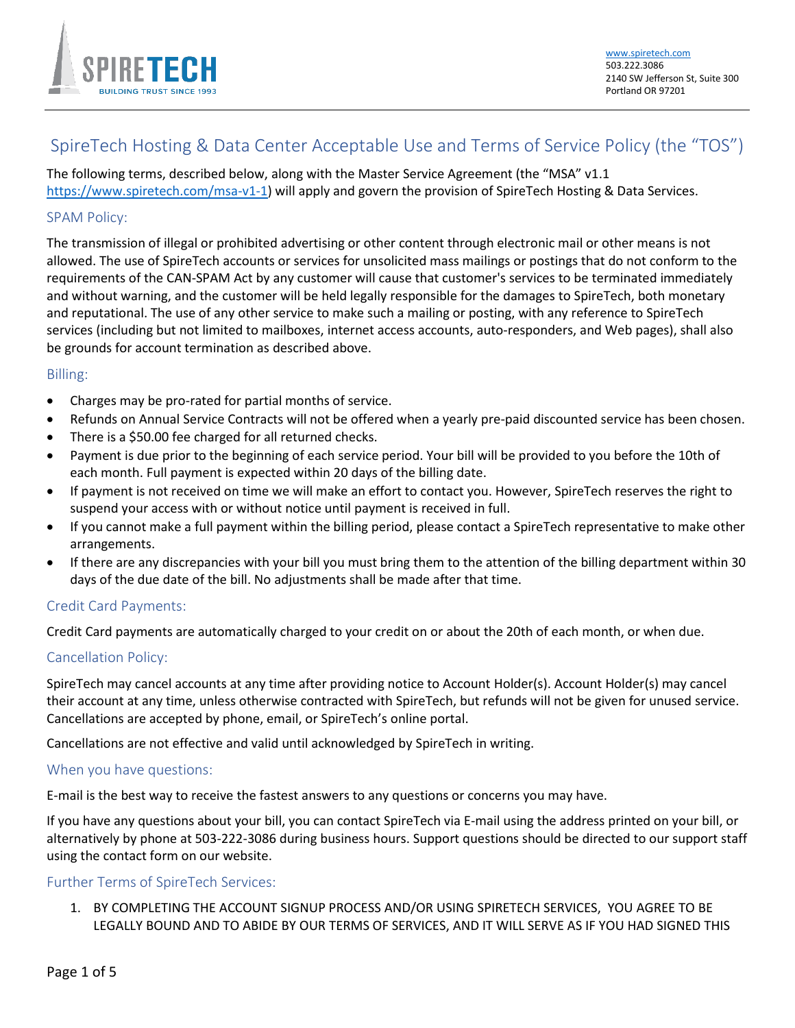

# SpireTech Hosting & Data Center Acceptable Use and Terms of Service Policy (the "TOS")

The following terms, described below, along with the Master Service Agreement (the "MSA" v1.1 [https://www.spiretech.com/msa-v1-1\)](https://www.spiretech.com/msa-v1-1) will apply and govern the provision of SpireTech Hosting & Data Services.

## SPAM Policy:

The transmission of illegal or prohibited advertising or other content through electronic mail or other means is not allowed. The use of SpireTech accounts or services for unsolicited mass mailings or postings that do not conform to the requirements of the CAN-SPAM Act by any customer will cause that customer's services to be terminated immediately and without warning, and the customer will be held legally responsible for the damages to SpireTech, both monetary and reputational. The use of any other service to make such a mailing or posting, with any reference to SpireTech services (including but not limited to mailboxes, internet access accounts, auto-responders, and Web pages), shall also be grounds for account termination as described above.

### Billing:

- Charges may be pro-rated for partial months of service.
- Refunds on Annual Service Contracts will not be offered when a yearly pre-paid discounted service has been chosen.
- There is a \$50.00 fee charged for all returned checks.
- Payment is due prior to the beginning of each service period. Your bill will be provided to you before the 10th of each month. Full payment is expected within 20 days of the billing date.
- If payment is not received on time we will make an effort to contact you. However, SpireTech reserves the right to suspend your access with or without notice until payment is received in full.
- If you cannot make a full payment within the billing period, please contact a SpireTech representative to make other arrangements.
- If there are any discrepancies with your bill you must bring them to the attention of the billing department within 30 days of the due date of the bill. No adjustments shall be made after that time.

### Credit Card Payments:

Credit Card payments are automatically charged to your credit on or about the 20th of each month, or when due.

### Cancellation Policy:

SpireTech may cancel accounts at any time after providing notice to Account Holder(s). Account Holder(s) may cancel their account at any time, unless otherwise contracted with SpireTech, but refunds will not be given for unused service. Cancellations are accepted by phone, email, or SpireTech's online portal.

Cancellations are not effective and valid until acknowledged by SpireTech in writing.

### When you have questions:

E-mail is the best way to receive the fastest answers to any questions or concerns you may have.

If you have any questions about your bill, you can contact SpireTech via E-mail using the address printed on your bill, or alternatively by phone at 503-222-3086 during business hours. Support questions should be directed to our support staff using the contact form on our website.

### Further Terms of SpireTech Services:

1. BY COMPLETING THE ACCOUNT SIGNUP PROCESS AND/OR USING SPIRETECH SERVICES, YOU AGREE TO BE LEGALLY BOUND AND TO ABIDE BY OUR TERMS OF SERVICES, AND IT WILL SERVE AS IF YOU HAD SIGNED THIS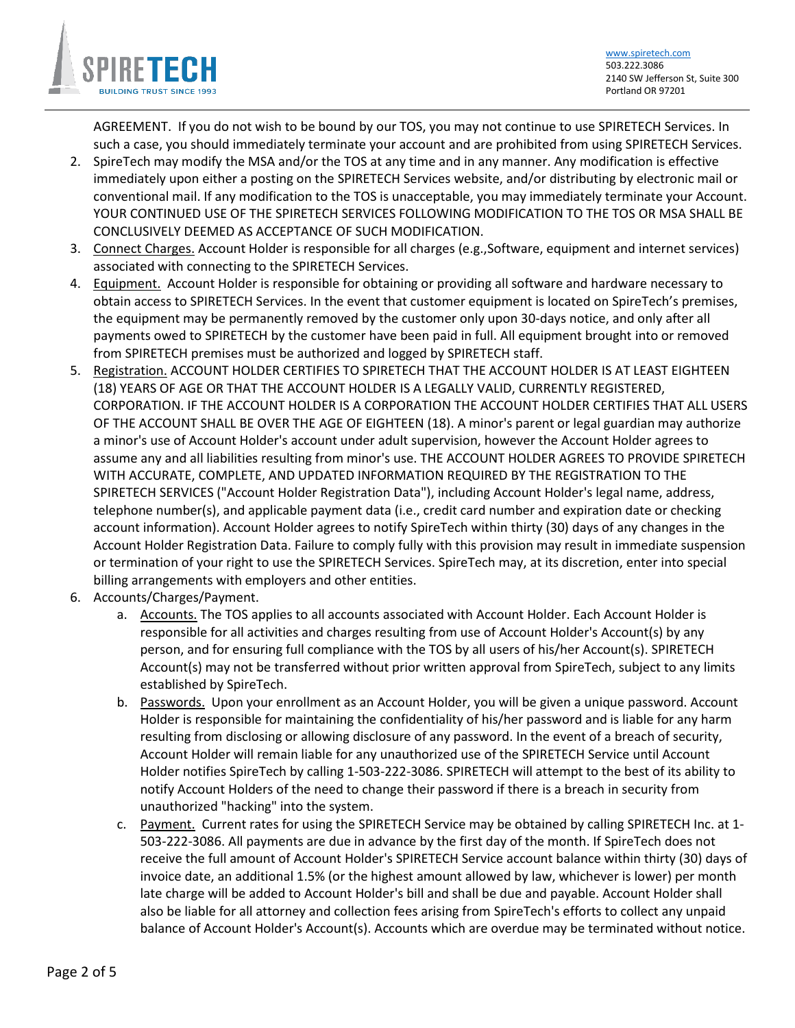

AGREEMENT. If you do not wish to be bound by our TOS, you may not continue to use SPIRETECH Services. In such a case, you should immediately terminate your account and are prohibited from using SPIRETECH Services.

- 2. SpireTech may modify the MSA and/or the TOS at any time and in any manner. Any modification is effective immediately upon either a posting on the SPIRETECH Services website, and/or distributing by electronic mail or conventional mail. If any modification to the TOS is unacceptable, you may immediately terminate your Account. YOUR CONTINUED USE OF THE SPIRETECH SERVICES FOLLOWING MODIFICATION TO THE TOS OR MSA SHALL BE CONCLUSIVELY DEEMED AS ACCEPTANCE OF SUCH MODIFICATION.
- 3. Connect Charges. Account Holder is responsible for all charges (e.g.,Software, equipment and internet services) associated with connecting to the SPIRETECH Services.
- 4. Equipment. Account Holder is responsible for obtaining or providing all software and hardware necessary to obtain access to SPIRETECH Services. In the event that customer equipment is located on SpireTech's premises, the equipment may be permanently removed by the customer only upon 30-days notice, and only after all payments owed to SPIRETECH by the customer have been paid in full. All equipment brought into or removed from SPIRETECH premises must be authorized and logged by SPIRETECH staff.
- 5. Registration. ACCOUNT HOLDER CERTIFIES TO SPIRETECH THAT THE ACCOUNT HOLDER IS AT LEAST EIGHTEEN (18) YEARS OF AGE OR THAT THE ACCOUNT HOLDER IS A LEGALLY VALID, CURRENTLY REGISTERED, CORPORATION. IF THE ACCOUNT HOLDER IS A CORPORATION THE ACCOUNT HOLDER CERTIFIES THAT ALL USERS OF THE ACCOUNT SHALL BE OVER THE AGE OF EIGHTEEN (18). A minor's parent or legal guardian may authorize a minor's use of Account Holder's account under adult supervision, however the Account Holder agrees to assume any and all liabilities resulting from minor's use. THE ACCOUNT HOLDER AGREES TO PROVIDE SPIRETECH WITH ACCURATE, COMPLETE, AND UPDATED INFORMATION REQUIRED BY THE REGISTRATION TO THE SPIRETECH SERVICES ("Account Holder Registration Data"), including Account Holder's legal name, address, telephone number(s), and applicable payment data (i.e., credit card number and expiration date or checking account information). Account Holder agrees to notify SpireTech within thirty (30) days of any changes in the Account Holder Registration Data. Failure to comply fully with this provision may result in immediate suspension or termination of your right to use the SPIRETECH Services. SpireTech may, at its discretion, enter into special billing arrangements with employers and other entities.
- 6. Accounts/Charges/Payment.
	- a. Accounts. The TOS applies to all accounts associated with Account Holder. Each Account Holder is responsible for all activities and charges resulting from use of Account Holder's Account(s) by any person, and for ensuring full compliance with the TOS by all users of his/her Account(s). SPIRETECH Account(s) may not be transferred without prior written approval from SpireTech, subject to any limits established by SpireTech.
	- b. Passwords. Upon your enrollment as an Account Holder, you will be given a unique password. Account Holder is responsible for maintaining the confidentiality of his/her password and is liable for any harm resulting from disclosing or allowing disclosure of any password. In the event of a breach of security, Account Holder will remain liable for any unauthorized use of the SPIRETECH Service until Account Holder notifies SpireTech by calling 1-503-222-3086. SPIRETECH will attempt to the best of its ability to notify Account Holders of the need to change their password if there is a breach in security from unauthorized "hacking" into the system.
	- c. Payment. Current rates for using the SPIRETECH Service may be obtained by calling SPIRETECH Inc. at 1- 503-222-3086. All payments are due in advance by the first day of the month. If SpireTech does not receive the full amount of Account Holder's SPIRETECH Service account balance within thirty (30) days of invoice date, an additional 1.5% (or the highest amount allowed by law, whichever is lower) per month late charge will be added to Account Holder's bill and shall be due and payable. Account Holder shall also be liable for all attorney and collection fees arising from SpireTech's efforts to collect any unpaid balance of Account Holder's Account(s). Accounts which are overdue may be terminated without notice.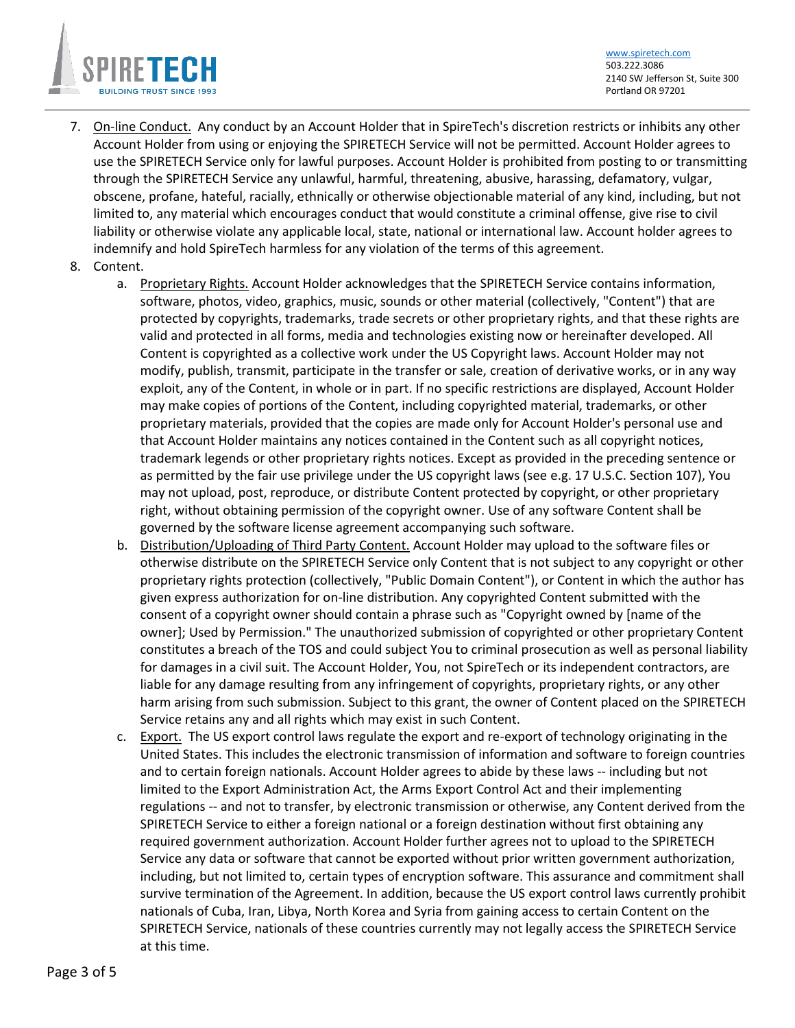

[www.spiretech.com](http://www.spiretech.com/) 503.222.3086 2140 SW Jefferson St, Suite 300 Portland OR 97201

- 7. On-line Conduct. Any conduct by an Account Holder that in SpireTech's discretion restricts or inhibits any other Account Holder from using or enjoying the SPIRETECH Service will not be permitted. Account Holder agrees to use the SPIRETECH Service only for lawful purposes. Account Holder is prohibited from posting to or transmitting through the SPIRETECH Service any unlawful, harmful, threatening, abusive, harassing, defamatory, vulgar, obscene, profane, hateful, racially, ethnically or otherwise objectionable material of any kind, including, but not limited to, any material which encourages conduct that would constitute a criminal offense, give rise to civil liability or otherwise violate any applicable local, state, national or international law. Account holder agrees to indemnify and hold SpireTech harmless for any violation of the terms of this agreement.
- <span id="page-2-0"></span>8. Content.
	- a. Proprietary Rights. Account Holder acknowledges that the SPIRETECH Service contains information, software, photos, video, graphics, music, sounds or other material (collectively, "Content") that are protected by copyrights, trademarks, trade secrets or other proprietary rights, and that these rights are valid and protected in all forms, media and technologies existing now or hereinafter developed. All Content is copyrighted as a collective work under the US Copyright laws. Account Holder may not modify, publish, transmit, participate in the transfer or sale, creation of derivative works, or in any way exploit, any of the Content, in whole or in part. If no specific restrictions are displayed, Account Holder may make copies of portions of the Content, including copyrighted material, trademarks, or other proprietary materials, provided that the copies are made only for Account Holder's personal use and that Account Holder maintains any notices contained in the Content such as all copyright notices, trademark legends or other proprietary rights notices. Except as provided in the preceding sentence or as permitted by the fair use privilege under the US copyright laws (see e.g. 17 U.S.C. Section 107), You may not upload, post, reproduce, or distribute Content protected by copyright, or other proprietary right, without obtaining permission of the copyright owner. Use of any software Content shall be governed by the software license agreement accompanying such software.
	- b. Distribution/Uploading of Third Party Content. Account Holder may upload to the software files or otherwise distribute on the SPIRETECH Service only Content that is not subject to any copyright or other proprietary rights protection (collectively, "Public Domain Content"), or Content in which the author has given express authorization for on-line distribution. Any copyrighted Content submitted with the consent of a copyright owner should contain a phrase such as "Copyright owned by [name of the owner]; Used by Permission." The unauthorized submission of copyrighted or other proprietary Content constitutes a breach of the TOS and could subject You to criminal prosecution as well as personal liability for damages in a civil suit. The Account Holder, You, not SpireTech or its independent contractors, are liable for any damage resulting from any infringement of copyrights, proprietary rights, or any other harm arising from such submission. Subject to this grant, the owner of Content placed on the SPIRETECH Service retains any and all rights which may exist in such Content.
	- c. Export. The US export control laws regulate the export and re-export of technology originating in the United States. This includes the electronic transmission of information and software to foreign countries and to certain foreign nationals. Account Holder agrees to abide by these laws -- including but not limited to the Export Administration Act, the Arms Export Control Act and their implementing regulations -- and not to transfer, by electronic transmission or otherwise, any Content derived from the SPIRETECH Service to either a foreign national or a foreign destination without first obtaining any required government authorization. Account Holder further agrees not to upload to the SPIRETECH Service any data or software that cannot be exported without prior written government authorization, including, but not limited to, certain types of encryption software. This assurance and commitment shall survive termination of the Agreement. In addition, because the US export control laws currently prohibit nationals of Cuba, Iran, Libya, North Korea and Syria from gaining access to certain Content on the SPIRETECH Service, nationals of these countries currently may not legally access the SPIRETECH Service at this time.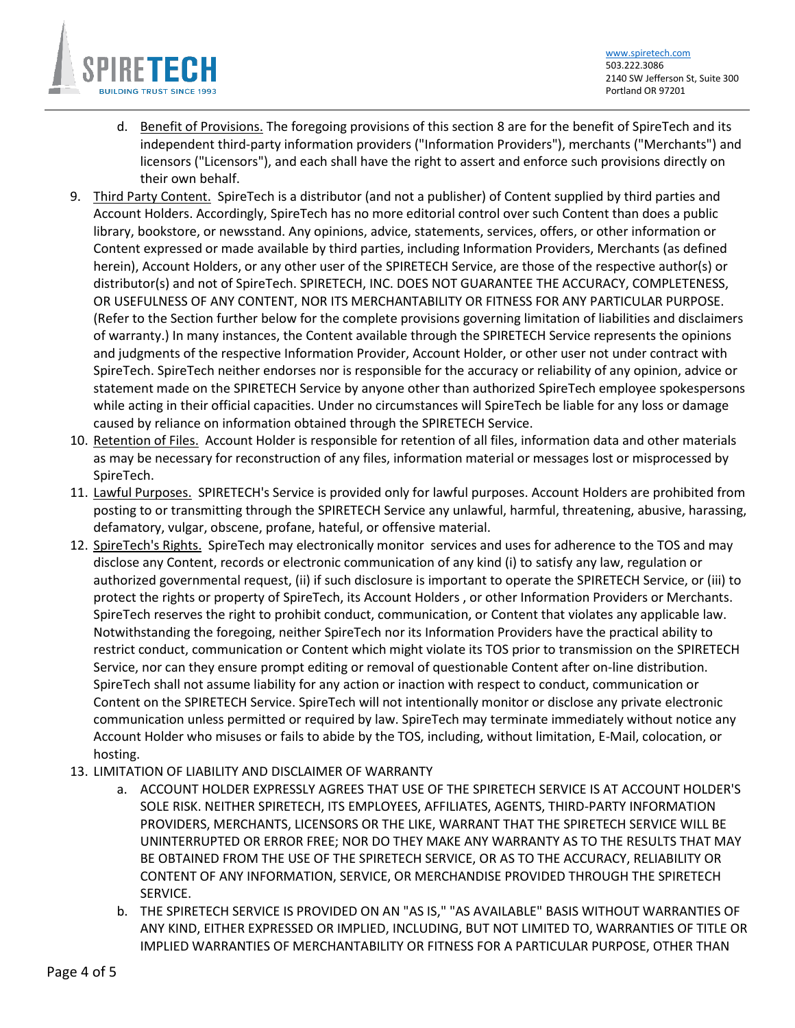

[www.spiretech.com](http://www.spiretech.com/) 503.222.3086 2140 SW Jefferson St, Suite 300 Portland OR 97201

- d. Benefit of Provisions. The foregoing provisions of this section [8](#page-2-0) are for the benefit of SpireTech and its independent third-party information providers ("Information Providers"), merchants ("Merchants") and licensors ("Licensors"), and each shall have the right to assert and enforce such provisions directly on their own behalf.
- 9. Third Party Content. SpireTech is a distributor (and not a publisher) of Content supplied by third parties and Account Holders. Accordingly, SpireTech has no more editorial control over such Content than does a public library, bookstore, or newsstand. Any opinions, advice, statements, services, offers, or other information or Content expressed or made available by third parties, including Information Providers, Merchants (as defined herein), Account Holders, or any other user of the SPIRETECH Service, are those of the respective author(s) or distributor(s) and not of SpireTech. SPIRETECH, INC. DOES NOT GUARANTEE THE ACCURACY, COMPLETENESS, OR USEFULNESS OF ANY CONTENT, NOR ITS MERCHANTABILITY OR FITNESS FOR ANY PARTICULAR PURPOSE. (Refer to the Section further below for the complete provisions governing limitation of liabilities and disclaimers of warranty.) In many instances, the Content available through the SPIRETECH Service represents the opinions and judgments of the respective Information Provider, Account Holder, or other user not under contract with SpireTech. SpireTech neither endorses nor is responsible for the accuracy or reliability of any opinion, advice or statement made on the SPIRETECH Service by anyone other than authorized SpireTech employee spokespersons while acting in their official capacities. Under no circumstances will SpireTech be liable for any loss or damage caused by reliance on information obtained through the SPIRETECH Service.
- 10. Retention of Files. Account Holder is responsible for retention of all files, information data and other materials as may be necessary for reconstruction of any files, information material or messages lost or misprocessed by SpireTech.
- 11. Lawful Purposes. SPIRETECH's Service is provided only for lawful purposes. Account Holders are prohibited from posting to or transmitting through the SPIRETECH Service any unlawful, harmful, threatening, abusive, harassing, defamatory, vulgar, obscene, profane, hateful, or offensive material.
- 12. SpireTech's Rights. SpireTech may electronically monitor services and uses for adherence to the TOS and may disclose any Content, records or electronic communication of any kind (i) to satisfy any law, regulation or authorized governmental request, (ii) if such disclosure is important to operate the SPIRETECH Service, or (iii) to protect the rights or property of SpireTech, its Account Holders , or other Information Providers or Merchants. SpireTech reserves the right to prohibit conduct, communication, or Content that violates any applicable law. Notwithstanding the foregoing, neither SpireTech nor its Information Providers have the practical ability to restrict conduct, communication or Content which might violate its TOS prior to transmission on the SPIRETECH Service, nor can they ensure prompt editing or removal of questionable Content after on-line distribution. SpireTech shall not assume liability for any action or inaction with respect to conduct, communication or Content on the SPIRETECH Service. SpireTech will not intentionally monitor or disclose any private electronic communication unless permitted or required by law. SpireTech may terminate immediately without notice any Account Holder who misuses or fails to abide by the TOS, including, without limitation, E-Mail, colocation, or hosting.
- <span id="page-3-0"></span>13. LIMITATION OF LIABILITY AND DISCLAIMER OF WARRANTY
	- a. ACCOUNT HOLDER EXPRESSLY AGREES THAT USE OF THE SPIRETECH SERVICE IS AT ACCOUNT HOLDER'S SOLE RISK. NEITHER SPIRETECH, ITS EMPLOYEES, AFFILIATES, AGENTS, THIRD-PARTY INFORMATION PROVIDERS, MERCHANTS, LICENSORS OR THE LIKE, WARRANT THAT THE SPIRETECH SERVICE WILL BE UNINTERRUPTED OR ERROR FREE; NOR DO THEY MAKE ANY WARRANTY AS TO THE RESULTS THAT MAY BE OBTAINED FROM THE USE OF THE SPIRETECH SERVICE, OR AS TO THE ACCURACY, RELIABILITY OR CONTENT OF ANY INFORMATION, SERVICE, OR MERCHANDISE PROVIDED THROUGH THE SPIRETECH SERVICE.
	- b. THE SPIRETECH SERVICE IS PROVIDED ON AN "AS IS," "AS AVAILABLE" BASIS WITHOUT WARRANTIES OF ANY KIND, EITHER EXPRESSED OR IMPLIED, INCLUDING, BUT NOT LIMITED TO, WARRANTIES OF TITLE OR IMPLIED WARRANTIES OF MERCHANTABILITY OR FITNESS FOR A PARTICULAR PURPOSE, OTHER THAN